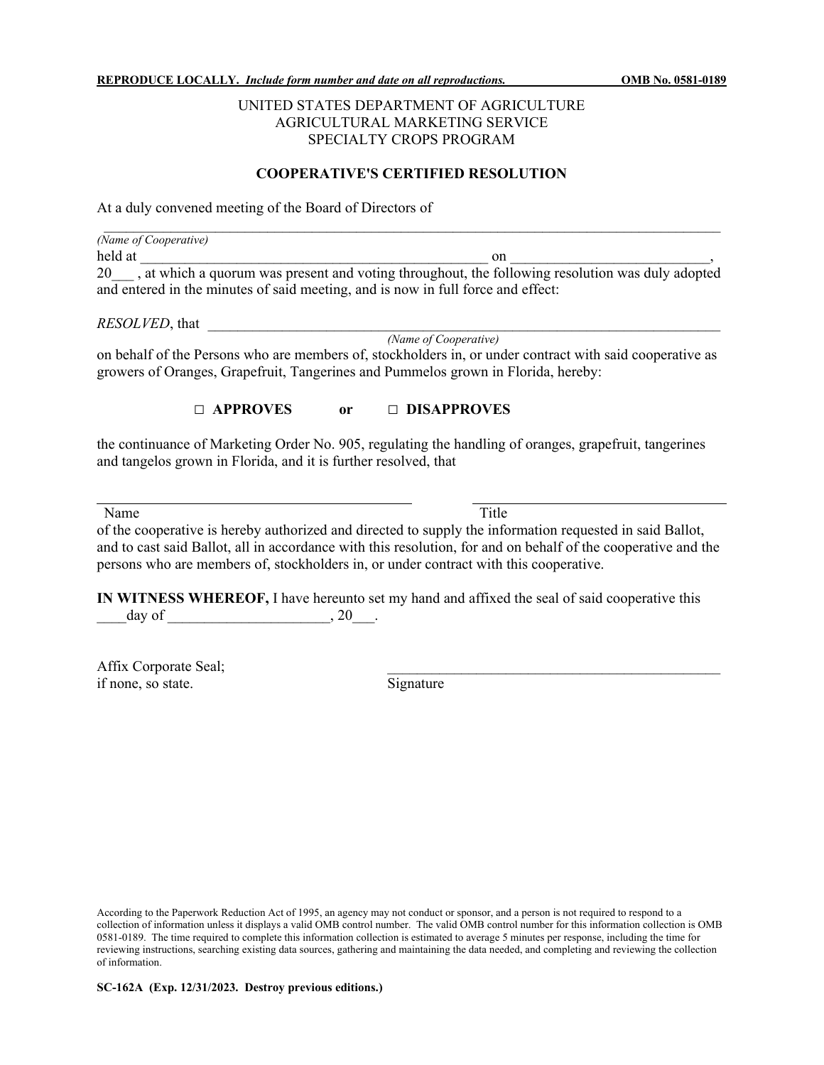## UNITED STATES DEPARTMENT OF AGRICULTURE AGRICULTURAL MARKETING SERVICE SPECIALTY CROPS PROGRAM

## **COOPERATIVE'S CERTIFIED RESOLUTION**

At a duly convened meeting of the Board of Directors of

|         | (Name of Cooperative)                                                                            |
|---------|--------------------------------------------------------------------------------------------------|
| held at | on                                                                                               |
| 20      | , at which a quorum was present and voting throughout, the following resolution was duly adopted |
|         | and entered in the minutes of said meeting, and is now in full force and effect:                 |

*RESOLVED*, that

*(Name of Cooperative)*

on behalf of the Persons who are members of, stockholders in, or under contract with said cooperative as growers of Oranges, Grapefruit, Tangerines and Pummelos grown in Florida, hereby:

## **□ APPROVES or □ DISAPPROVES**

the continuance of Marketing Order No. 905, regulating the handling of oranges, grapefruit, tangerines and tangelos grown in Florida, and it is further resolved, that

Name Title

of the cooperative is hereby authorized and directed to supply the information requested in said Ballot, and to cast said Ballot, all in accordance with this resolution, for and on behalf of the cooperative and the persons who are members of, stockholders in, or under contract with this cooperative.

**IN WITNESS WHEREOF,** I have hereunto set my hand and affixed the seal of said cooperative this  $\text{day of} \quad , 20 \quad .$ 

Affix Corporate Seal; if none, so state. Signature

According to the Paperwork Reduction Act of 1995, an agency may not conduct or sponsor, and a person is not required to respond to a collection of information unless it displays a valid OMB control number. The valid OMB control number for this information collection is OMB 0581-0189. The time required to complete this information collection is estimated to average 5 minutes per response, including the time for reviewing instructions, searching existing data sources, gathering and maintaining the data needed, and completing and reviewing the collection of information.